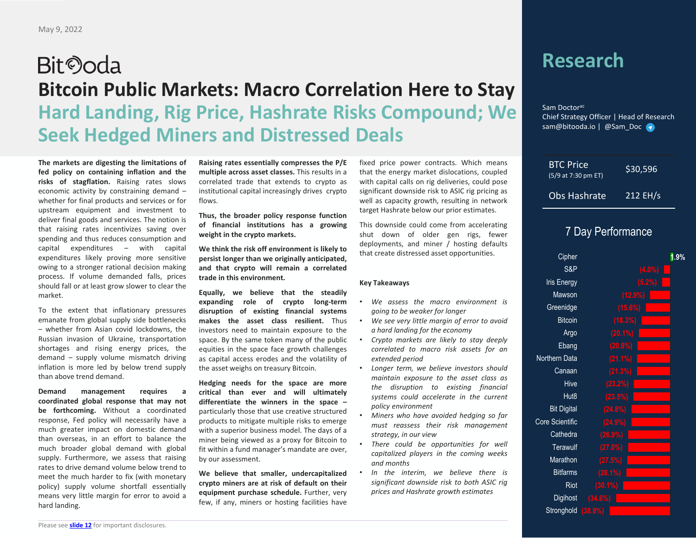## **Bit**Ooda **Bitcoin Public Markets: Macro Correlation Here to Stay Hard Landing, Rig Price, Hashrate Risks Compound; We Seek Hedged Miners and Distressed Deals**

**The markets are digesting the limitations of fed policy on containing inflation and the risks of stagflation.** Raising rates slows economic activity by constraining demand – whether for final products and services or for upstream equipment and investment to deliver final goods and services. The notion is that raising rates incentivizes saving over spending and thus reduces consumption and capital expenditures – with capital expenditures likely proving more sensitive owing to <sup>a</sup> stronger rational decision making process. If volume demanded falls, prices should fall or at least grow slower to clear the market.

To the extent that inflationary pressures emanate from global supply side bottlenecks – whether from Asian covid lockdowns, the Russian invasion of Ukraine, transportation shortages and rising energy prices, the demand – supply volume mismatch driving inflation is more led by below trend supply than above trend demand.

**Demand management requires <sup>a</sup> coordinated global response that may not be forthcoming.** Without <sup>a</sup> coordinated response, Fed policy will necessarily have <sup>a</sup> much greater impact on domestic demand than overseas, in an effort to balance the much broader global demand with global supply. Furthermore, we assess that raising rates to drive demand volume below trend tomeet the much harder to fix (with monetary policy) supply volume shortfall essentially means very little margin for error to avoid <sup>a</sup> hard landing.

**Raising rates essentially compresses the P/E multiple across asset classes.** This results in <sup>a</sup> correlated trade that extends to crypto as institutional capital increasingly drives crypto flows.

**Thus, the broader policy response function of financial institutions has <sup>a</sup> growing weight in the crypto markets.**

**We think the risk off environment is likely to persist longer than we originally anticipated, and that crypto will remain <sup>a</sup> correlated trade in this environment.**

**Equally, we believe that the steadily expanding role of crypto long‐term disruption of existing financial systems makes the asset class resilient.** Thusinvestors need to maintain exposure to the space. By the same token many of the public equities in the space face growth challenges as capital access erodes and the volatility of the asset weighs on treasury Bitcoin.

**Hedging needs for the space are more critical than ever and will ultimately differentiate the winners in the space –** particularly those that use creative structured products to mitigate multiple risks to emerge with <sup>a</sup> superior business model. The days of <sup>a</sup> miner being viewed as <sup>a</sup> proxy for Bitcoin to fit within <sup>a</sup> fund manager's mandate are over, by our assessment.

**We believe that smaller, undercapitalized crypto miners are at risk of default on their equipment purchase schedule.** Further, very few, if any, miners or hosting facilities have fixed price power contracts. Which means that the energy market dislocations, coupled with capital calls on rig deliveries, could pose significant downside risk to ASIC rig pricing as well as capacity growth, resulting in network target Hashrate below our prior estimates.

This downside could come from accelerating shut down of older gen rigs, fewer deployments, and miner / hosting defaults that create distressed asset opportunities.

#### **Key Takeaways**

•

- *We assess the macro environment isgoing to be weaker for longer*
- *We see very little margin of error to avoid <sup>a</sup> hard landing for the economy*
- • *Crypto markets are likely to stay deeply correlated to macro risk assets for an extended period*
- *Longer term, we believe investors should maintain exposure to the asset class as the disruption to existing financial systems could accelerate in the current policy environment*
- *Miners who have avoided hedging so far must reassess their risk management strategy, in our view*
- *There could be opportunities for well capitalized players in the coming weeks and months*
- *In the interim, we believe there is significant downside risk to both ASIC rig prices and Hashrate growth estimates*

### **Research**

Sam Doctor<sup>ac</sup> Chief Strategy Officer | Head of Research sam@bitooda.io | @Sam\_Doc

| <b>BTC Price</b><br>(5/9 at 7:30 pm ET) | \$30,596 |
|-----------------------------------------|----------|
| Obs Hashrate                            | 212 EH/s |

#### 7 Day Performance

| Cipher             |         | 1.9% |
|--------------------|---------|------|
| S&P                | (4.0%   |      |
| <b>Iris Energy</b> | (5.2%)  |      |
| Mawson             | (12.9%  |      |
| Greenidge          | (15.6%) |      |
| <b>Bitcoin</b>     | (18.3%) |      |
| Argo               | (20.1%) |      |
| Ebang              | (20.8%) |      |
| Northern Data      | (21.1%) |      |
| Canaan             | (21.3%) |      |
| Hive               | (23.2%) |      |
| Hut <sub>8</sub>   | (23.5%) |      |
| <b>Bit Digital</b> | (24.8%) |      |
| Core Scientific    | (24.9%  |      |
| Cathedra           | (26.9%  |      |
| Terawulf           | (27.0%) |      |
| Marathon           | (27.5%) |      |
| <b>Bitfarms</b>    | (28.1%) |      |
| Riot               | (30.1%) |      |
| Digihost           | (34.6%) |      |
| Stronghold         | (38.8%) |      |
|                    |         |      |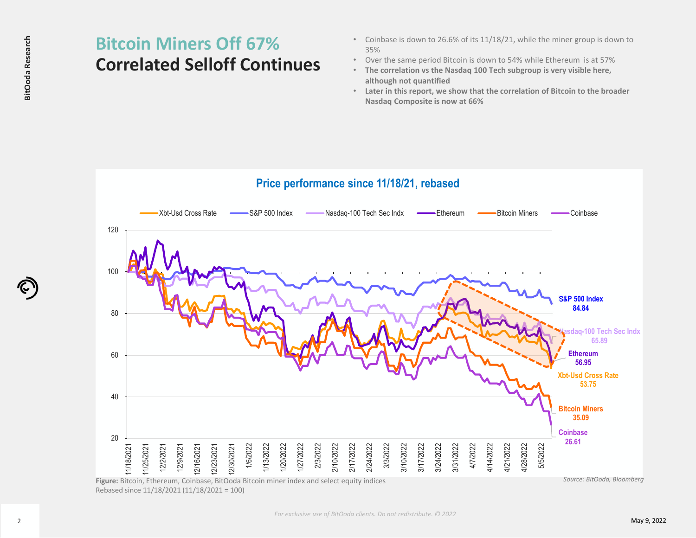# **Correlated Selloff Continues**

- Coinbase is down to 26.6% of its 11/18/21, while the miner group is down to 35%
- Over the same period Bitcoin is down to 54% while Ethereum is at 57%
- **The correlation vs the Nasdaq 100 Tech subgroup is very visible here, although not quantified**
- **Later in this report, we show that the correlation of Bitcoin to the broader Nasdaq Composite is now at 66%**



Rebased since 11/18/2021 (11/18/2021 <sup>=</sup> 100)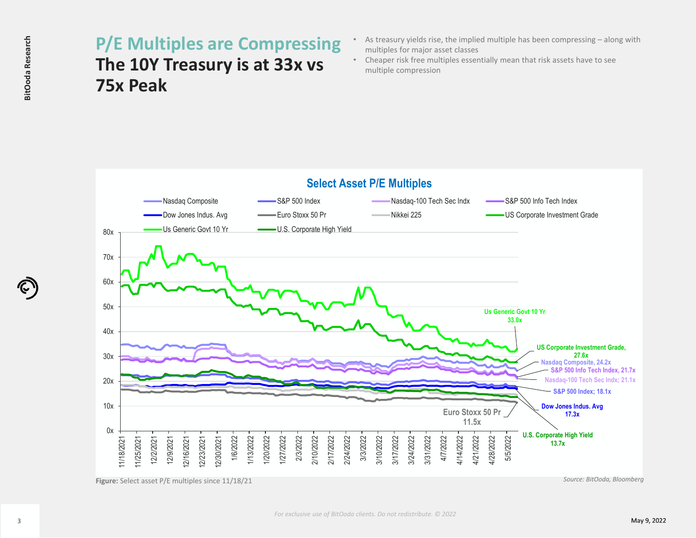## **The 10Y Treasury is at 33x vs 75x Peak**

- As treasury yields rise, the implied multiple has been compressing along with multiples for major asset classes
- • Cheaper risk free multiples essentially mean that risk assets have to see multiple compression



**Figure:** Select asset P/E multiples since 11/18/21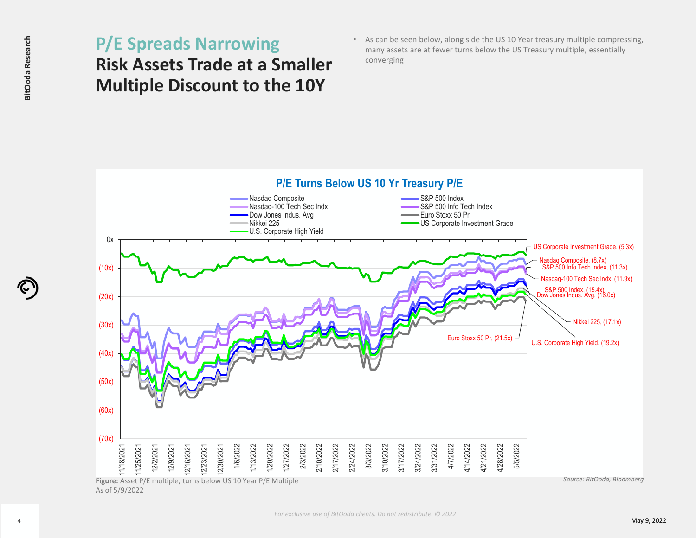## **Risk Assets Trade at <sup>a</sup> Smaller Multiple Discount to the 10Y**

• As can be seen below, along side the US 10 Year treasury multiple compressing, many assets are at fewer turns below the US Treasury multiple, essentially converging

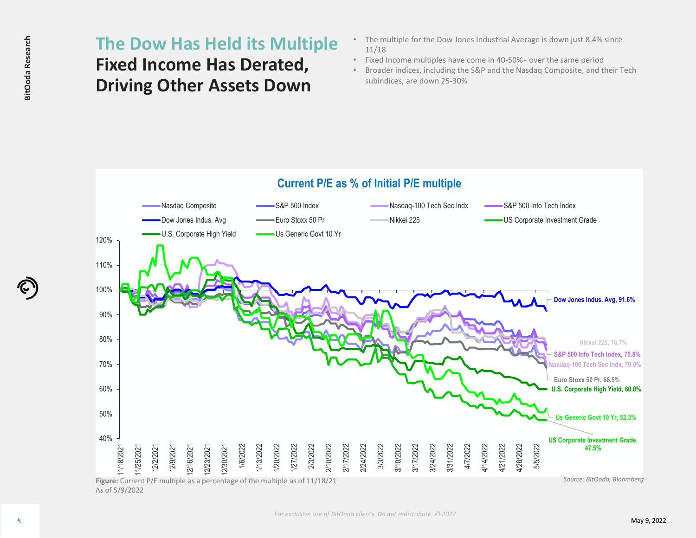### **Fixed Income Has Derated, Driving Other Assets Down**

- The multiple for the Dow Jones Industrial Average is down just 8.4% since 11/18
- •Fixed Income multiples have come in 40‐50%+ over the same period
- Broader indices, including the S&P and the Nasdaq Composite, and their Tech subindices, are down 25‐30%

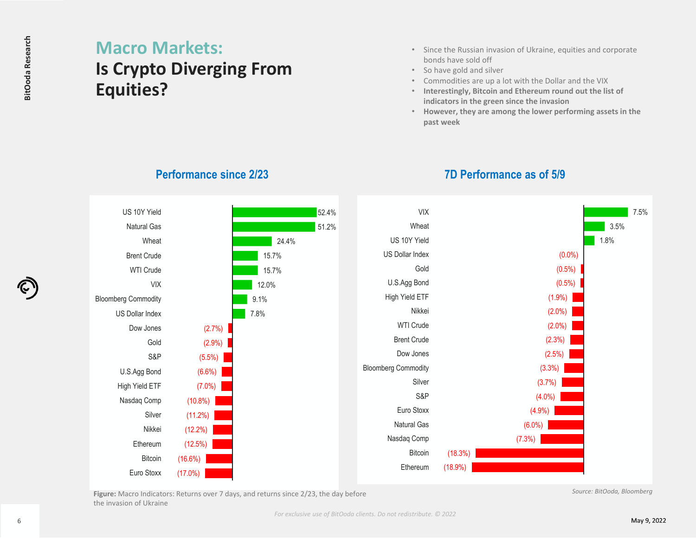### **Macro Markets: Is Crypto Diverging From Equities?**

- • Since the Russian invasion of Ukraine, equities and corporate bonds have sold off
- So have gold and silver
- •Commodities are up <sup>a</sup> lot with the Dollar and the VIX

**7D Performance as of 5/9**

- • **Interestingly, Bitcoin and Ethereum round out the list of indicators in the green since the invasion**
- **However, they are among the lower performing assets in the past week**



#### **Performance since 2/23**

**Figure:** Macro Indicators: Returns over 7 days, and returns since 2/23, the day before the invasion of Ukraine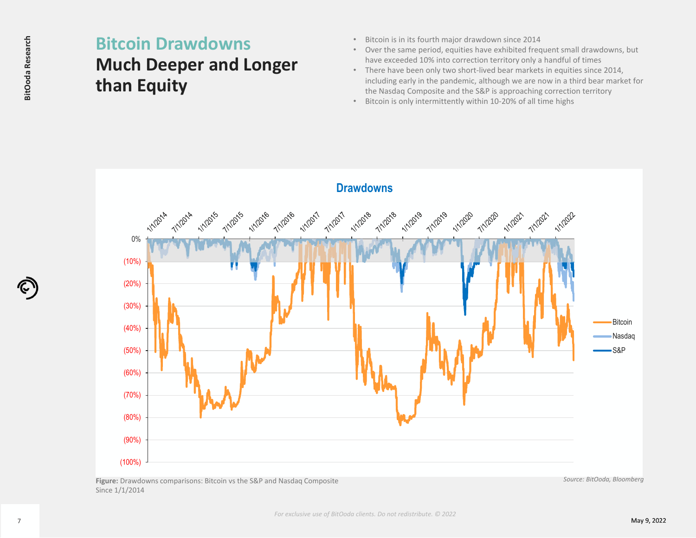## **Much Deeper and Longer than Equity**

- •Bitcoin is in its fourth major drawdown since 2014
- • Over the same period, equities have exhibited frequent small drawdowns, but have exceeded 10% into correction territory only <sup>a</sup> handful of times
- There have been only two short‐lived bear markets in equities since 2014, including early in the pandemic, although we are now in <sup>a</sup> third bear market for the Nasdaq Composite and the S&P is approaching correction territory
- •Bitcoin is only intermittently within 10‐20% of all time highs



**Figure:** Drawdowns comparisons: Bitcoin vs the S&P and Nasdaq Composite Since 1/1/2014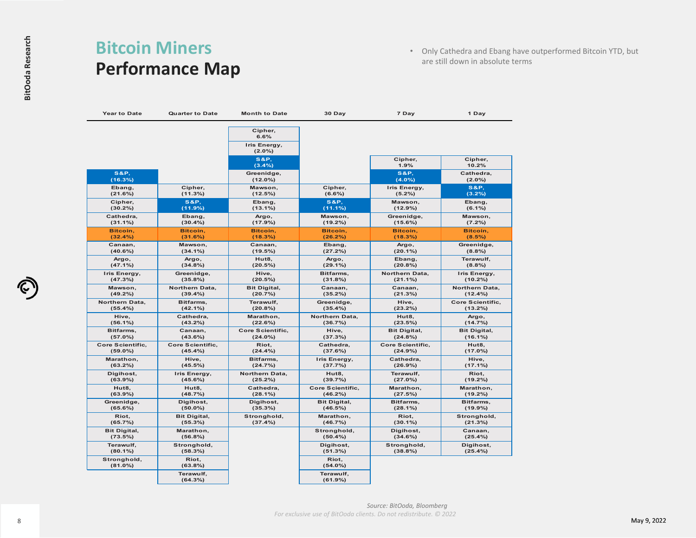### **Bitcoin Miners Performance Map**

• Only Cathedra and Ebang have outperformed Bitcoin YTD, but are still down in absolute terms

| <b>Year to Date</b>            | <b>Quarter to Date</b>  | <b>Month to Date</b>            | 30 Day                    | 7 Day                        | 1 Day                  |
|--------------------------------|-------------------------|---------------------------------|---------------------------|------------------------------|------------------------|
|                                |                         | Cipher,<br>6.6%<br>Iris Energy, |                           |                              |                        |
|                                |                         | $(2.0\%)$<br><b>S&amp;P.</b>    |                           | Cipher,                      | Cipher,                |
|                                |                         | (3.4%)                          |                           | 1.9%                         | 10.2%                  |
| <b>S&amp;P.</b><br>(16.3%)     |                         | Greenidge,<br>$(12.0\%)$        |                           | <b>S&amp;P.</b><br>$(4.0\%)$ | Cathedra,<br>$(2.0\%)$ |
| Ebang,                         | Cipher,                 | Mawson,                         | Cipher,                   | Iris Energy,                 | <b>S&amp;P.</b>        |
| (21.6%)                        | (11.3%)                 | (12.5%)                         | $(6.6\%)$                 | $(5.2\%)$                    | (3.2%)                 |
| Cipher,                        | <b>S&amp;P.</b>         | Ebang,                          | <b>S&amp;P.</b>           | Mawson,                      | Ebang,                 |
| $(30.2\%)$                     | (11.9%)                 | $(13.1\%)$                      | $(11.1\%)$                | $(12.9\%)$                   | $(6.1\%)$              |
| Cathedra,                      | Ebang,                  | Argo,                           | Mawson,                   | Greenidge,                   | Mawson,                |
| $(31.1\%)$                     | $(30.4\%)$              | (17.9%)                         | $(19.2\%)$                | $(15.6\%)$                   | $(7.2\%)$              |
| Bitcoin,                       | Bitcoin,                | Bitcoin,                        | Bitcoin,                  | Bitcoin,                     | Bitcoin,               |
| $(32.4\%)$                     | (31.6%)                 | (18.3%)                         | $(26.2\%)$                | (18.3%)                      | $(8.5\%)$              |
| Canaan,                        | Mawson,                 | Canaan,                         | Ebang,                    | Argo,                        | Greenidge,             |
| $(40.6\%)$                     | $(34.1\%)$              | (19.5%)                         | (27.2%)                   | $(20.1\%)$                   | (8.8%)                 |
| Argo,                          | Argo,                   | Hut8,                           | Argo,                     | Ebang,                       | Terawulf,              |
| (47.1%)                        | (34.8%)                 | (20.5%)                         | $(29.1\%)$                | (20.8%)                      | (8.8%)                 |
| Iris Energy,                   | Greenidge,              | Hive,                           | Bitfarms,                 | Northern Data,               | Iris Energy,           |
| (47.3%)                        | (35.8%)                 | (20.5%)                         | (31.8%)                   | $(21.1\%)$                   | $(10.2\%)$             |
| Mawson,                        | Northern Data,          | <b>Bit Digital,</b>             | Canaan,                   | Canaan,                      | Northern Data,         |
| $(49.2\%)$                     | $(39.4\%)$              | (20.7%)                         | $(35.2\%)$                | (21.3%)                      | $(12.4\%)$             |
| Northern Data,                 | Bitfarms,               | Terawulf,                       | Greenidge,                | Hive,                        | Core Scientific,       |
| (55.4%)                        | $(42.1\%)$              | (20.8%)                         | (35.4%)                   | (23.2%)                      | (13.2%)                |
| Hive,                          | Cathedra,               | Marathon,                       | Northern Data,            | Hut8,                        | Argo,                  |
| $(56.1\%)$                     | $(43.2\%)$              | (22.6%)                         | (36.7%)                   | (23.5%)                      | (14.7%)                |
| Bitfarms,                      | Canaan,                 | Core Scientific,                | Hive,                     | <b>Bit Digital,</b>          | <b>Bit Digital,</b>    |
| (57.0%)                        | (43.6%)                 | $(24.0\%)$                      | (37.3%)                   | $(24.8\%)$                   | $(16.1\%)$             |
| Core Scientific,               | <b>Core Scientific,</b> | Riot,                           | Cathedra,                 | <b>Core Scientific,</b>      | Hut8,                  |
| $(59.0\%)$                     | (45.4%)                 | (24.4%)                         | (37.6%)                   | (24.9%)                      | (17.0%)                |
| Marathon,                      | Hive,                   | Bitfarms,                       | Iris Energy,              | Cathedra,                    | Hive,                  |
| $(63.2\%)$                     | $(45.5\%)$              | (24.7%)                         | (37.7%)                   | $(26.9\%)$                   | (17.1%)                |
| Digihost,                      | Iris Energy,            | Northern Data,                  | Hut8,                     | Terawulf,                    | Riot,                  |
| $(63.9\%)$                     | $(45.6\%)$              | (25.2%)                         | (39.7%)                   | (27.0%)                      | $(19.2\%)$             |
| Hut8,                          | Hut8,                   | Cathedra,                       | <b>Core Scientific.</b>   | Marathon,                    | Marathon,              |
| (63.9%)                        | (48.7%)                 | $(28.1\%)$                      | $(46.2\%)$                | (27.5%)                      | (19.2%)                |
| Greenidge,                     | Digihost,               | Digihost,                       | <b>Bit Digital,</b>       | Bitfarms,                    | Bitfarms,              |
| $(65.6\%)$                     | $(50.0\%)$              | $(35.3\%)$                      | (46.5%)                   | $(28.1\%)$                   | $(19.9\%)$             |
| Riot,                          | <b>Bit Digital,</b>     | Stronghold,                     | Marathon,                 | Riot,                        | Stronghold,            |
| (65.7%)                        | $(55.3\%)$              | (37.4%)                         | (46.7%)                   | $(30.1\%)$                   | (21.3%)                |
| <b>Bit Digital,</b><br>(73.5%) | Marathon,<br>(56.8%)    |                                 | Stronghold,<br>$(50.4\%)$ | Digihost,<br>(34.6%)         | Canaan,<br>(25.4%      |
| Terawulf,<br>$(80.1\%)$        | Stronghold,<br>(58.3%)  |                                 | Digihost,<br>(51.3%)      | Stronghold,<br>$(38.8\%)$    | Digihost,<br>(25.4%    |
| Stronghold,<br>$(81.0\%)$      | Riot,<br>$(63.8\%)$     |                                 | Riot,<br>$(54.0\%)$       |                              |                        |
|                                | Terawulf,               |                                 | Terawulf,<br>(61.9%)      |                              |                        |

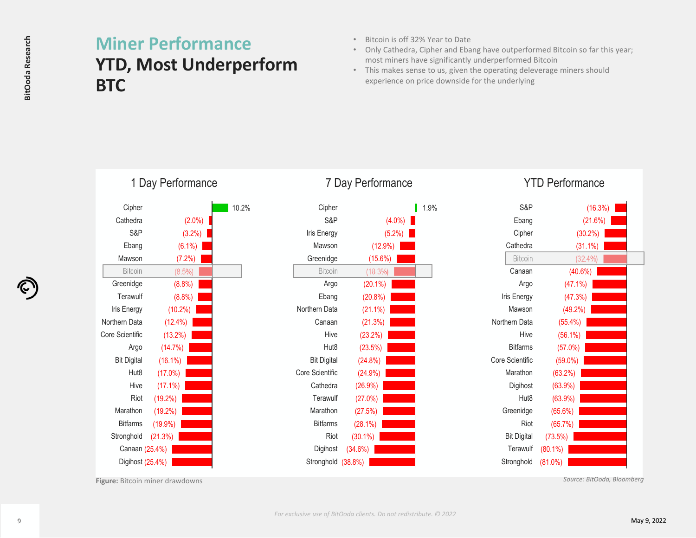## **YTD, Most Underperform BTC**

- Bitcoin is off 32% Year to Date
- Only Cathedra, Cipher and Ebang have outperformed Bitcoin so far this year; most miners have significantly underperformed Bitcoin
- This makes sense to us, given the operating deleverage miners should experience on price downside for the underlying

| <b>BitOoda Research</b> | <b>BTC</b>                                                                                                                                                                                                                                                                   | <b>Miner Performance</b><br><b>YTD, Most Underperfor</b>                                                                                                                                                                                      |       |  |
|-------------------------|------------------------------------------------------------------------------------------------------------------------------------------------------------------------------------------------------------------------------------------------------------------------------|-----------------------------------------------------------------------------------------------------------------------------------------------------------------------------------------------------------------------------------------------|-------|--|
|                         |                                                                                                                                                                                                                                                                              | 1 Day Performance                                                                                                                                                                                                                             |       |  |
|                         | Cipher<br>Cathedra<br>S&P<br>Ebang<br>Mawson<br>Bitcoin<br>Greenidge<br>Terawulf<br>Iris Energy<br>Northern Data<br>Core Scientific<br>Argo<br><b>Bit Digital</b><br>Hut8<br>Hive<br>Riot<br>Marathon<br><b>Bitfarms</b><br>Stronghold<br>Canaan (25.4%)<br>Digihost (25.4%) | $(2.0\%)$<br>(3.2%)<br>(6.1%)<br>(7.2%)<br>(8.5%)<br>(8.8%)<br>(8.8%)<br>$(10.2\%)$<br>$(12.4\%)$<br>(13.2%)<br>(14.7%)<br>$(16.1\%)$<br>(17.0%)<br>(17.1%)<br>(19.2%)<br>$(19.2\%)$<br>(19.9%)<br>(21.3%)<br>Figure: Bitcoin miner drawdowns | 10.2% |  |
| 9                       |                                                                                                                                                                                                                                                                              |                                                                                                                                                                                                                                               |       |  |

### 7 Day Performance

| Cipher             |            | 1.9% |
|--------------------|------------|------|
| S&P                | $(4.0\%)$  |      |
| Iris Energy        | (5.2%)     |      |
| Mawson             | (12.9%)    |      |
| Greenidge          | (15.6%)    |      |
| <b>Bitcoin</b>     | (18.3%)    |      |
| Argo               | $(20.1\%)$ |      |
| Ebang              | (20.8%)    |      |
| Northern Data      | $(21.1\%)$ |      |
| Canaan             | (21.3%)    |      |
| Hive               | (23.2%)    |      |
| Hut8               | (23.5%)    |      |
| <b>Bit Digital</b> | $(24.8\%)$ |      |
| Core Scientific    | (24.9%)    |      |
| Cathedra           | (26.9%)    |      |
| Terawulf           | (27.0%)    |      |
| Marathon           | (27.5%)    |      |
| <b>Bitfarms</b>    | (28.1%)    |      |
| Riot               | $(30.1\%)$ |      |
| Digihost           | (34.6%)    |      |
| Stronghold (38.8%) |            |      |
|                    |            |      |

#### YTD Performance

| S&P                | (16.3%)    |  |
|--------------------|------------|--|
| Ebang              | (21.6%)    |  |
| Cipher             | (30.2%)    |  |
| Cathedra           | $(31.1\%)$ |  |
| <b>Bitcoin</b>     | (32.4%     |  |
| Canaan             | (40.6%)    |  |
| Argo               | (47.1%)    |  |
| Iris Energy        | (47.3%)    |  |
| Mawson             | (49.2%)    |  |
| Northern Data      | $(55.4\%)$ |  |
| Hive               | $(56.1\%)$ |  |
| <b>Bitfarms</b>    | (57.0%)    |  |
| Core Scientific    | $(59.0\%)$ |  |
| Marathon           | (63.2%)    |  |
| Digihost           | $(63.9\%)$ |  |
| Hut <sub>8</sub>   | $(63.9\%)$ |  |
| Greenidge          | (65.6%)    |  |
| Riot               | (65.7%)    |  |
| <b>Bit Digital</b> | (73.5%)    |  |
| Terawulf           | $(80.1\%)$ |  |
| Stronghold         | $(81.0\%)$ |  |
|                    |            |  |

**Figure:** Bitcoin miner drawdowns *Source: BitOoda, Bloomberg*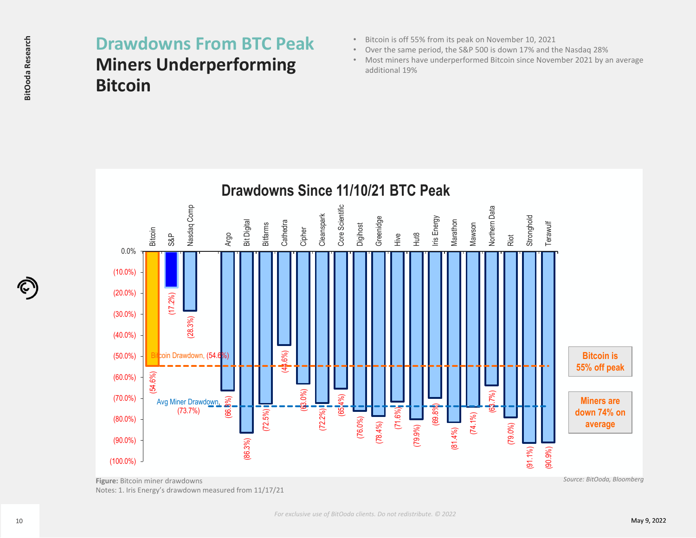## **Miners Underperforming Bitcoin**

- Bitcoin is off 55% from its peak on November 10, 2021
- Over the same period, the S&P 500 is down 17% and the Nasdaq 28%
- Most miners have underperformed Bitcoin since November 2021 by an average additional 19%



Notes: 1. Iris Energy's drawdown measured from 11/17/21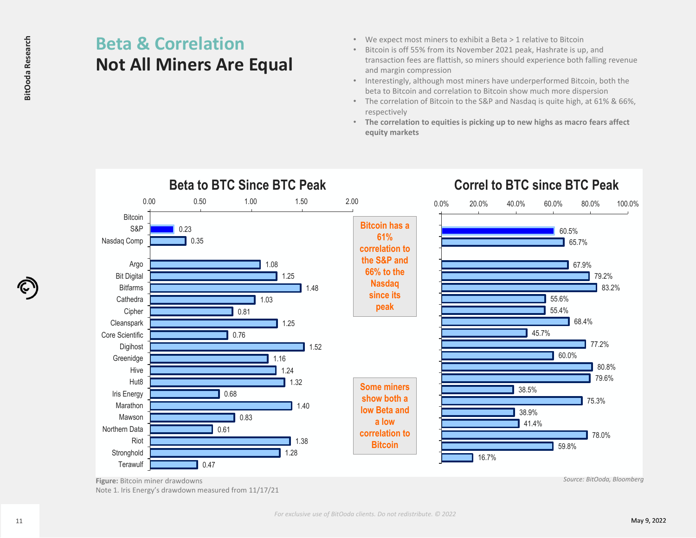# **Not All Miners Are Equal**

- We expect most miners to exhibit <sup>a</sup> Beta <sup>&</sup>gt; 1 relative to Bitcoin
- Bitcoin is off 55% from its November 2021 peak, Hashrate is up, and transaction fees are flattish, so miners should experience both falling revenue and margin compression
- Interestingly, although most miners have underperformed Bitcoin, both the beta to Bitcoin and correlation to Bitcoin show much more dispersion
- The correlation of Bitcoin to the S&P and Nasdaq is quite high, at 61% & 66%, respectively
- **The correlation to equities is picking up to new highs as macro fears affect equity markets**



**Figure:** Bitcoin miner drawdowns *Source: BitOoda, Bloomberg* Note 1. Iris Energy's drawdown measured from 11/17/21